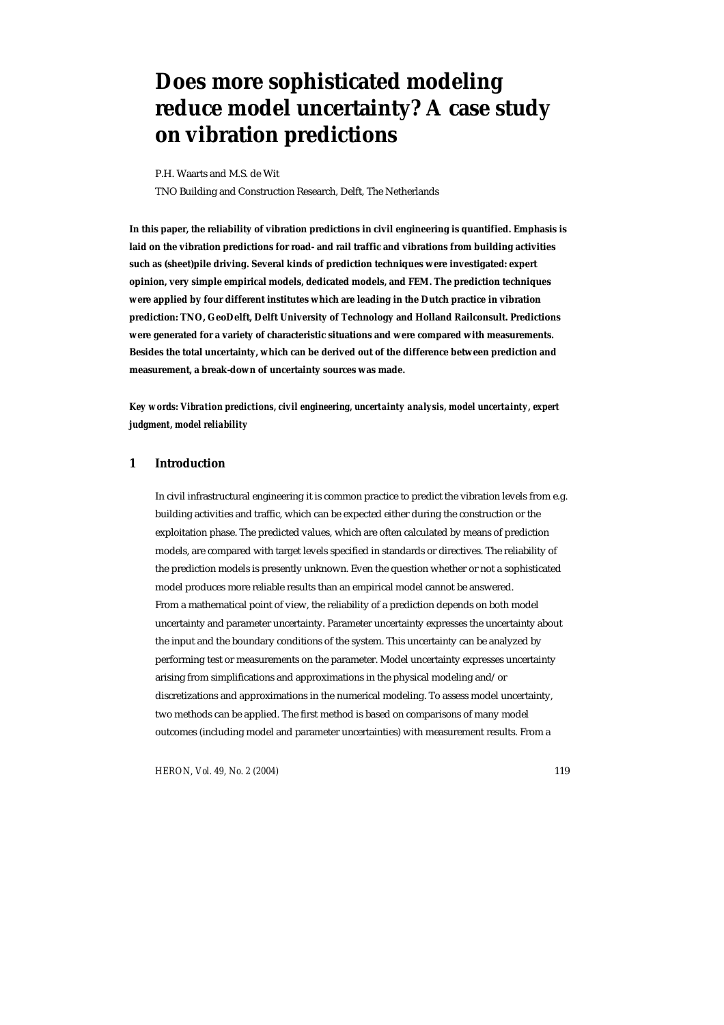# **Does more sophisticated modeling reduce model uncertainty? A case study on vibration predictions**

P.H. Waarts and M.S. de Wit

TNO Building and Construction Research, Delft, The Netherlands

**In this paper, the reliability of vibration predictions in civil engineering is quantified. Emphasis is laid on the vibration predictions for road- and rail traffic and vibrations from building activities such as (sheet)pile driving. Several kinds of prediction techniques were investigated: expert opinion, very simple empirical models, dedicated models, and FEM. The prediction techniques were applied by four different institutes which are leading in the Dutch practice in vibration prediction: TNO, GeoDelft, Delft University of Technology and Holland Railconsult. Predictions were generated for a variety of characteristic situations and were compared with measurements. Besides the total uncertainty, which can be derived out of the difference between prediction and measurement, a break-down of uncertainty sources was made.** 

*Key words: Vibration predictions, civil engineering, uncertainty analysis, model uncertainty, expert judgment, model reliability* 

# **1 Introduction**

In civil infrastructural engineering it is common practice to predict the vibration levels from e.g. building activities and traffic, which can be expected either during the construction or the exploitation phase. The predicted values, which are often calculated by means of prediction models, are compared with target levels specified in standards or directives. The reliability of the prediction models is presently unknown. Even the question whether or not a sophisticated model produces more reliable results than an empirical model cannot be answered. From a mathematical point of view, the reliability of a prediction depends on both model uncertainty and parameter uncertainty. Parameter uncertainty expresses the uncertainty about the input and the boundary conditions of the system. This uncertainty can be analyzed by performing test or measurements on the parameter. Model uncertainty expresses uncertainty arising from simplifications and approximations in the physical modeling and/or discretizations and approximations in the numerical modeling. To assess model uncertainty, two methods can be applied. The first method is based on comparisons of many model outcomes (including model and parameter uncertainties) with measurement results. From a

*HERON, Vol. 49, No. 2 (2004)* 119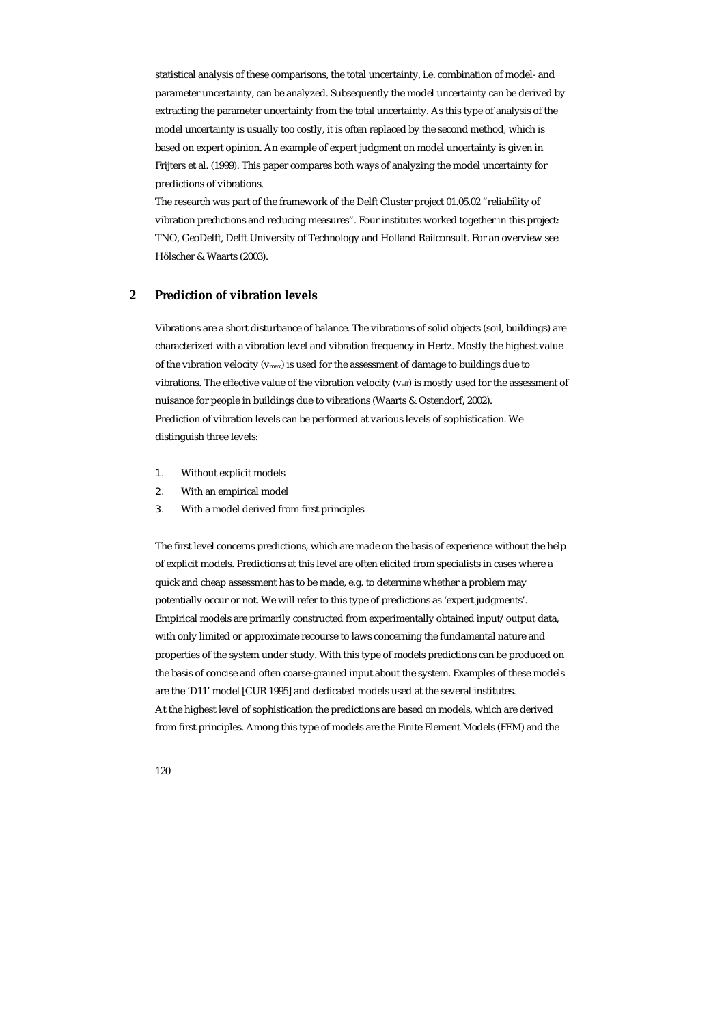statistical analysis of these comparisons, the total uncertainty, i.e. combination of model- and parameter uncertainty, can be analyzed. Subsequently the model uncertainty can be derived by extracting the parameter uncertainty from the total uncertainty. As this type of analysis of the model uncertainty is usually too costly, it is often replaced by the second method, which is based on expert opinion. An example of expert judgment on model uncertainty is given in Frijters et al. (1999). This paper compares both ways of analyzing the model uncertainty for predictions of vibrations.

The research was part of the framework of the Delft Cluster project 01.05.02 "reliability of vibration predictions and reducing measures". Four institutes worked together in this project: TNO, GeoDelft, Delft University of Technology and Holland Railconsult. For an overview see Hölscher & Waarts (2003).

# **2 Prediction of vibration levels**

Vibrations are a short disturbance of balance. The vibrations of solid objects (soil, buildings) are characterized with a vibration level and vibration frequency in Hertz. Mostly the highest value of the vibration velocity ( $v_{\text{max}}$ ) is used for the assessment of damage to buildings due to vibrations. The effective value of the vibration velocity ( $v_{\text{eff}}$ ) is mostly used for the assessment of nuisance for people in buildings due to vibrations (Waarts & Ostendorf, 2002). Prediction of vibration levels can be performed at various levels of sophistication. We distinguish three levels:

- 1. Without explicit models
- 2. With an empirical model
- 3. With a model derived from first principles

The first level concerns predictions, which are made on the basis of experience without the help of explicit models. Predictions at this level are often elicited from specialists in cases where a quick and cheap assessment has to be made, e.g. to determine whether a problem may potentially occur or not. We will refer to this type of predictions as 'expert judgments'. Empirical models are primarily constructed from experimentally obtained input/output data, with only limited or approximate recourse to laws concerning the fundamental nature and properties of the system under study. With this type of models predictions can be produced on the basis of concise and often coarse-grained input about the system. Examples of these models are the 'D11' model [CUR 1995] and dedicated models used at the several institutes. At the highest level of sophistication the predictions are based on models, which are derived from first principles. Among this type of models are the Finite Element Models (FEM) and the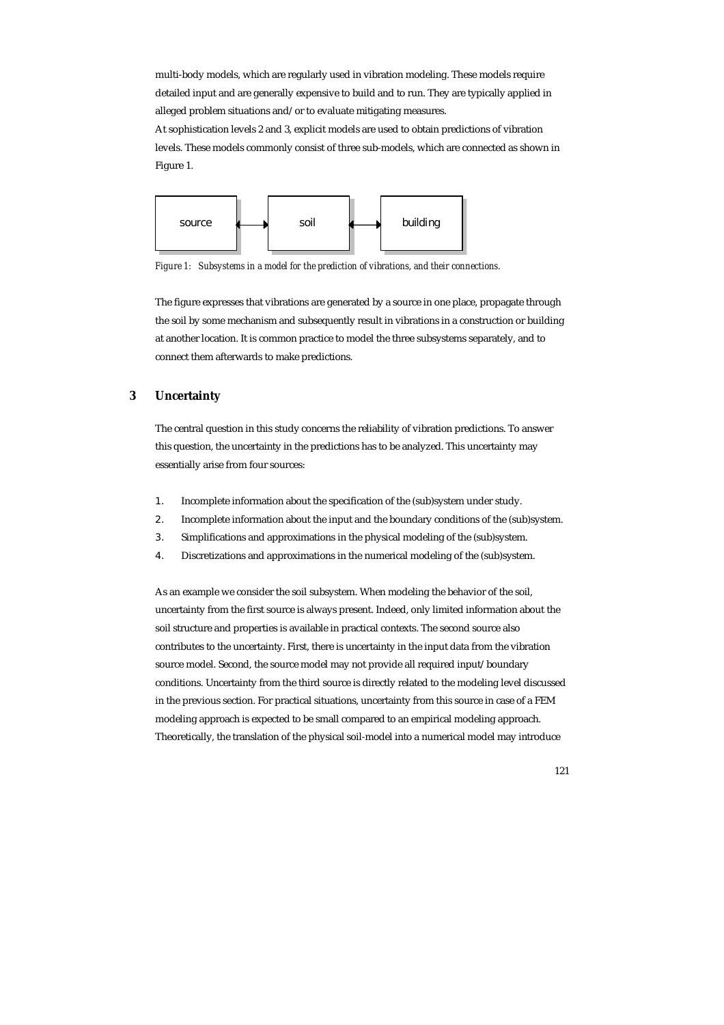multi-body models, which are regularly used in vibration modeling. These models require detailed input and are generally expensive to build and to run. They are typically applied in alleged problem situations and/or to evaluate mitigating measures.

At sophistication levels 2 and 3, explicit models are used to obtain predictions of vibration levels. These models commonly consist of three sub-models, which are connected as shown in Figure 1.



*Figure 1: Subsystems in a model for the prediction of vibrations, and their connections.* 

The figure expresses that vibrations are generated by a source in one place, propagate through the soil by some mechanism and subsequently result in vibrations in a construction or building at another location. It is common practice to model the three subsystems separately, and to connect them afterwards to make predictions.

# **3 Uncertainty**

The central question in this study concerns the reliability of vibration predictions. To answer this question, the uncertainty in the predictions has to be analyzed. This uncertainty may essentially arise from four sources:

- 1. Incomplete information about the specification of the (sub)system under study.
- 2. Incomplete information about the input and the boundary conditions of the (sub)system.
- 3. Simplifications and approximations in the physical modeling of the (sub)system.
- 4. Discretizations and approximations in the numerical modeling of the (sub)system.

As an example we consider the soil subsystem. When modeling the behavior of the soil, uncertainty from the first source is always present. Indeed, only limited information about the soil structure and properties is available in practical contexts. The second source also contributes to the uncertainty. First, there is uncertainty in the input data from the vibration source model. Second, the source model may not provide all required input/boundary conditions. Uncertainty from the third source is directly related to the modeling level discussed in the previous section. For practical situations, uncertainty from this source in case of a FEM modeling approach is expected to be small compared to an empirical modeling approach. Theoretically, the translation of the physical soil-model into a numerical model may introduce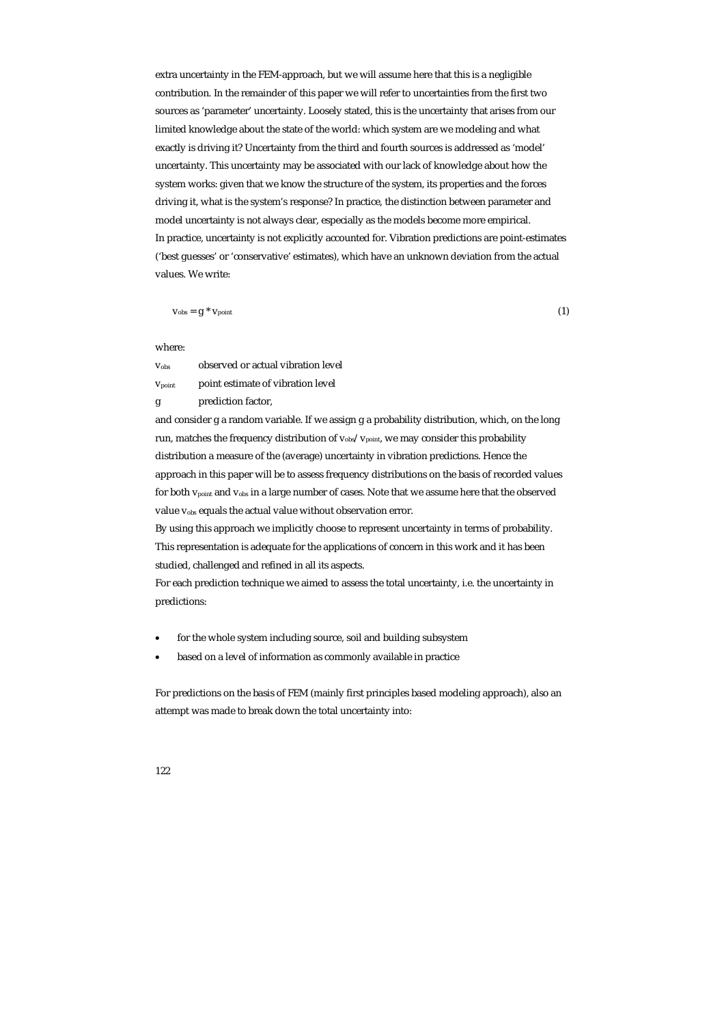extra uncertainty in the FEM-approach, but we will assume here that this is a negligible contribution. In the remainder of this paper we will refer to uncertainties from the first two sources as 'parameter' uncertainty. Loosely stated, this is the uncertainty that arises from our limited knowledge about the state of the world: which system are we modeling and what exactly is driving it? Uncertainty from the third and fourth sources is addressed as 'model' uncertainty. This uncertainty may be associated with our lack of knowledge about how the system works: given that we know the structure of the system, its properties and the forces driving it, what is the system's response? In practice, the distinction between parameter and model uncertainty is not always clear, especially as the models become more empirical. In practice, uncertainty is not explicitly accounted for. Vibration predictions are point-estimates ('best guesses' or 'conservative' estimates), which have an unknown deviation from the actual values. We write:

$$
V_{\rm obs} = g^* V_{\rm point} \tag{1}
$$

## where:

vobs observed or actual vibration level vpoint point estimate of vibration level

g prediction factor,

and consider g a random variable. If we assign g a probability distribution, which, on the long run, matches the frequency distribution of  $v_{obs}/v_{\rm point}$ , we may consider this probability distribution a measure of the (average) uncertainty in vibration predictions. Hence the approach in this paper will be to assess frequency distributions on the basis of recorded values for both vpoint and vobs in a large number of cases. Note that we assume here that the observed value v<sub>obs</sub> equals the actual value without observation error.

By using this approach we implicitly choose to represent uncertainty in terms of probability. This representation is adequate for the applications of concern in this work and it has been studied, challenged and refined in all its aspects.

For each prediction technique we aimed to assess the total uncertainty, i.e. the uncertainty in predictions:

- for the whole system including source, soil and building subsystem
- based on a level of information as commonly available in practice

For predictions on the basis of FEM (mainly first principles based modeling approach), also an attempt was made to break down the total uncertainty into: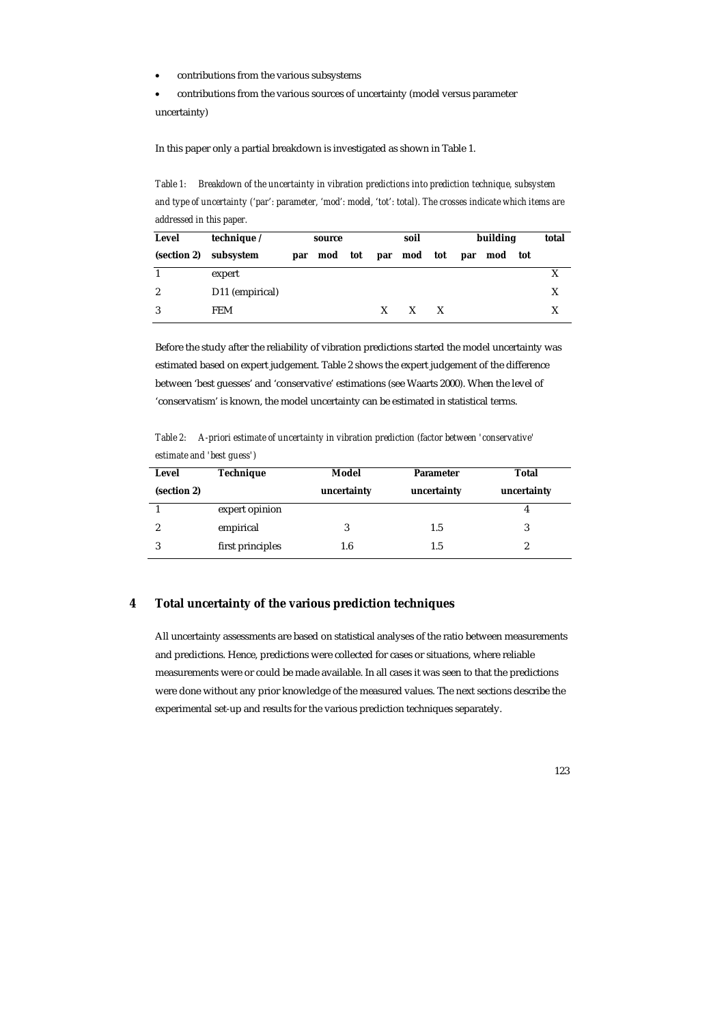• contributions from the various subsystems

• contributions from the various sources of uncertainty (model versus parameter uncertainty)

In this paper only a partial breakdown is investigated as shown in Table 1.

*Table 1: Breakdown of the uncertainty in vibration predictions into prediction technique, subsystem and type of uncertainty ('par': parameter, 'mod': model, 'tot': total). The crosses indicate which items are addressed in this paper.* 

| Level            | technique /     |     | source |              | soil                |   | building    | total |
|------------------|-----------------|-----|--------|--------------|---------------------|---|-------------|-------|
| (section 2)      | subsystem       | par |        |              | mod tot par mod tot |   | par mod tot |       |
|                  | expert          |     |        |              |                     |   |             |       |
| $\boldsymbol{2}$ | D11 (empirical) |     |        |              |                     |   |             | X     |
| 3                | <b>FEM</b>      |     |        | $\mathbf{X}$ | X                   | X |             |       |

Before the study after the reliability of vibration predictions started the model uncertainty was estimated based on expert judgement. Table 2 shows the expert judgement of the difference between 'best guesses' and 'conservative' estimations (see Waarts 2000). When the level of 'conservatism' is known, the model uncertainty can be estimated in statistical terms.

*Table 2: A-priori estimate of uncertainty in vibration prediction (factor between 'conservative' estimate and 'best guess')* 

| Level       | <b>Technique</b> | Model       | <b>Parameter</b> | Total       |
|-------------|------------------|-------------|------------------|-------------|
| (section 2) |                  | uncertainty | uncertainty      | uncertainty |
|             | expert opinion   |             |                  |             |
| 2           | empirical        |             | 1.5              |             |
| 3           | first principles | 1.6         | 1.5              |             |

# **4 Total uncertainty of the various prediction techniques**

All uncertainty assessments are based on statistical analyses of the ratio between measurements and predictions. Hence, predictions were collected for cases or situations, where reliable measurements were or could be made available. In all cases it was seen to that the predictions were done without any prior knowledge of the measured values. The next sections describe the experimental set-up and results for the various prediction techniques separately.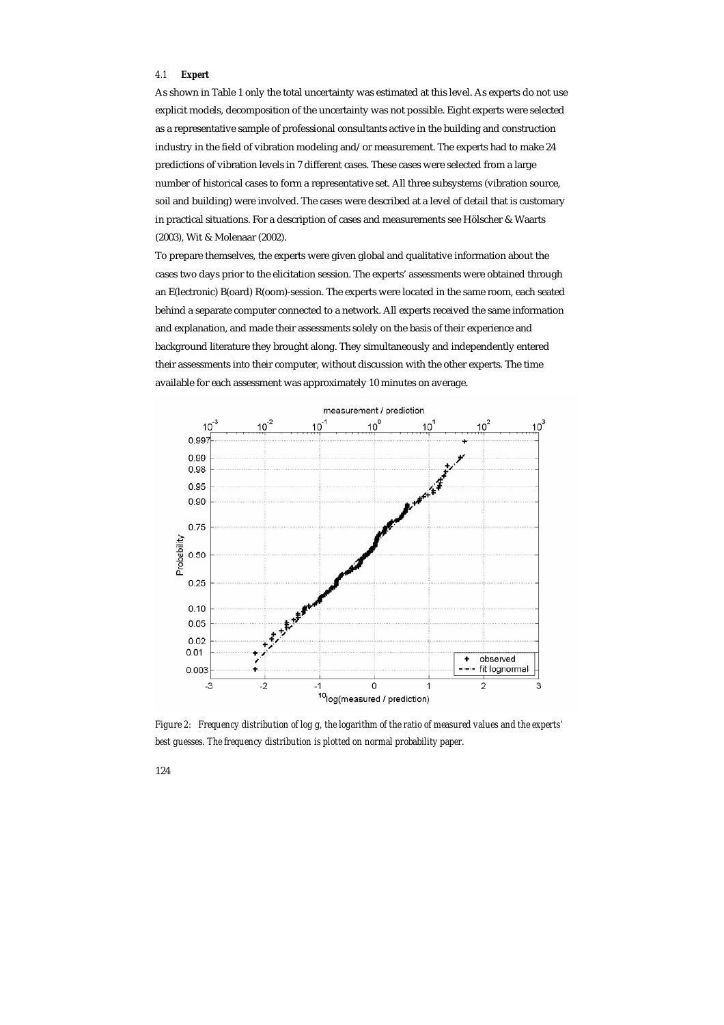# *4.1 Expert*

As shown in Table 1 only the total uncertainty was estimated at this level. As experts do not use explicit models, decomposition of the uncertainty was not possible. Eight experts were selected as a representative sample of professional consultants active in the building and construction industry in the field of vibration modeling and/or measurement. The experts had to make 24 predictions of vibration levels in 7 different cases. These cases were selected from a large number of historical cases to form a representative set. All three subsystems (vibration source, soil and building) were involved. The cases were described at a level of detail that is customary in practical situations. For a description of cases and measurements see Hölscher & Waarts (2003), Wit & Molenaar (2002).

To prepare themselves, the experts were given global and qualitative information about the cases two days prior to the elicitation session. The experts' assessments were obtained through an E(lectronic) B(oard) R(oom)-session. The experts were located in the same room, each seated behind a separate computer connected to a network. All experts received the same information and explanation, and made their assessments solely on the basis of their experience and background literature they brought along. They simultaneously and independently entered their assessments into their computer, without discussion with the other experts. The time available for each assessment was approximately 10 minutes on average.



*Figure 2: Frequency distribution of log g, the logarithm of the ratio of measured values and the experts' best guesses. The frequency distribution is plotted on normal probability paper.*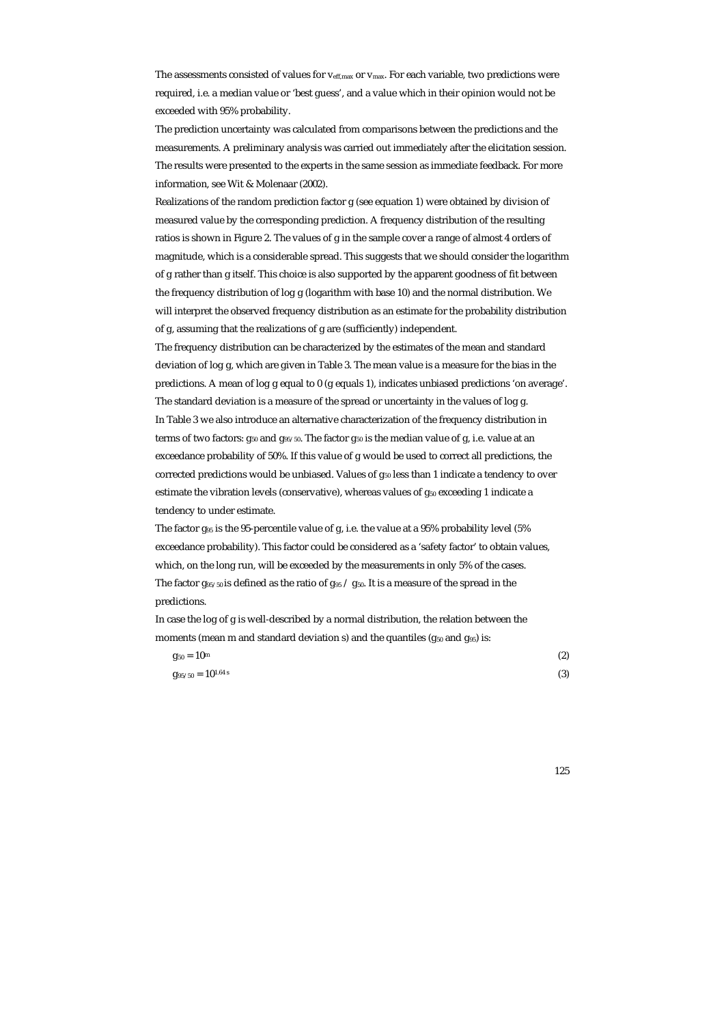The assessments consisted of values for  $v_{\text{eff,max}}$  or  $v_{\text{max}}$ . For each variable, two predictions were required, i.e. a median value or 'best guess', and a value which in their opinion would not be exceeded with 95% probability.

The prediction uncertainty was calculated from comparisons between the predictions and the measurements. A preliminary analysis was carried out immediately after the elicitation session. The results were presented to the experts in the same session as immediate feedback. For more information, see Wit & Molenaar (2002).

Realizations of the random prediction factor g (see equation 1) were obtained by division of measured value by the corresponding prediction. A frequency distribution of the resulting ratios is shown in Figure 2. The values of g in the sample cover a range of almost 4 orders of magnitude, which is a considerable spread. This suggests that we should consider the logarithm of g rather than g itself. This choice is also supported by the apparent goodness of fit between the frequency distribution of log g (logarithm with base 10) and the normal distribution. We will interpret the observed frequency distribution as an estimate for the probability distribution of g, assuming that the realizations of g are (sufficiently) independent.

The frequency distribution can be characterized by the estimates of the mean and standard deviation of log g, which are given in Table 3. The mean value is a measure for the bias in the predictions. A mean of log g equal to 0 (g equals 1), indicates unbiased predictions 'on average'. The standard deviation is a measure of the spread or uncertainty in the values of log g. In Table 3 we also introduce an alternative characterization of the frequency distribution in terms of two factors:  $g_{50}$  and  $g_{95/50}$ . The factor  $g_{50}$  is the median value of g, i.e. value at an exceedance probability of 50%. If this value of g would be used to correct all predictions, the corrected predictions would be unbiased. Values of  $g_{50}$  less than 1 indicate a tendency to over estimate the vibration levels (conservative), whereas values of  $g_{50}$  exceeding 1 indicate a tendency to under estimate.

The factor g<sub>95</sub> is the 95-percentile value of g, i.e. the value at a 95% probability level (5% exceedance probability). This factor could be considered as a 'safety factor' to obtain values, which, on the long run, will be exceeded by the measurements in only 5% of the cases. The factor  $g_{95/50}$  is defined as the ratio of  $g_{95}$  /  $g_{50}$ . It is a measure of the spread in the predictions.

In case the log of g is well-described by a normal distribution, the relation between the moments (mean m and standard deviation s) and the quantiles ( $g_{50}$  and  $g_{95}$ ) is:

| $g_{50}=10^{\mathrm{m}}$          | (2) |
|-----------------------------------|-----|
| $g_{95/50} = 10^{1.64 \text{ s}}$ | (3) |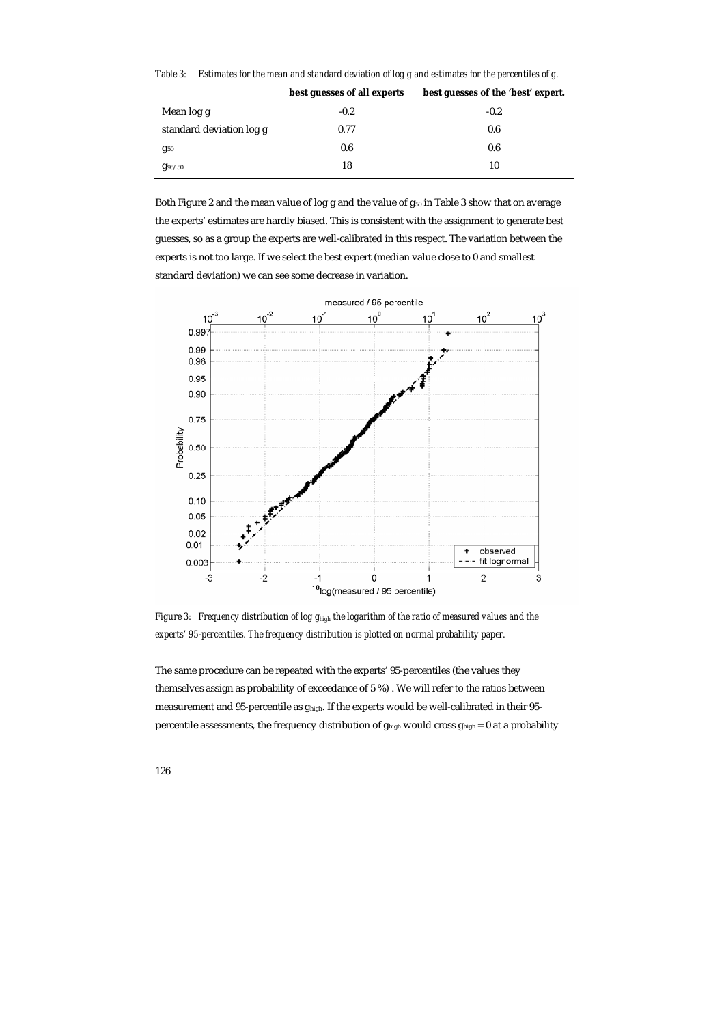| Table 3: Estimates for the mean and standard deviation of log g and estimates for the percentiles of g. |  |
|---------------------------------------------------------------------------------------------------------|--|
|                                                                                                         |  |

|                          | best guesses of all experts | best guesses of the 'best' expert. |
|--------------------------|-----------------------------|------------------------------------|
| Mean log g               | $-0.2$                      | $-0.2$                             |
| standard deviation log g | 0.77                        | 0.6                                |
| $g_{50}$                 | 0.6                         | 0.6                                |
| g <sub>95/50</sub>       | 18                          | 10                                 |

Both Figure 2 and the mean value of log g and the value of g<sub>50</sub> in Table 3 show that on average the experts' estimates are hardly biased. This is consistent with the assignment to generate best guesses, so as a group the experts are well-calibrated in this respect. The variation between the experts is not too large. If we select the best expert (median value close to 0 and smallest standard deviation) we can see some decrease in variation.



*Figure 3: Frequency distribution of log ghigh the logarithm of the ratio of measured values and the experts' 95-percentiles. The frequency distribution is plotted on normal probability paper.* 

The same procedure can be repeated with the experts' 95-percentiles (the values they themselves assign as probability of exceedance of 5 %) . We will refer to the ratios between measurement and 95-percentile as ghigh. If the experts would be well-calibrated in their 95 percentile assessments, the frequency distribution of ghigh would cross ghigh = 0 at a probability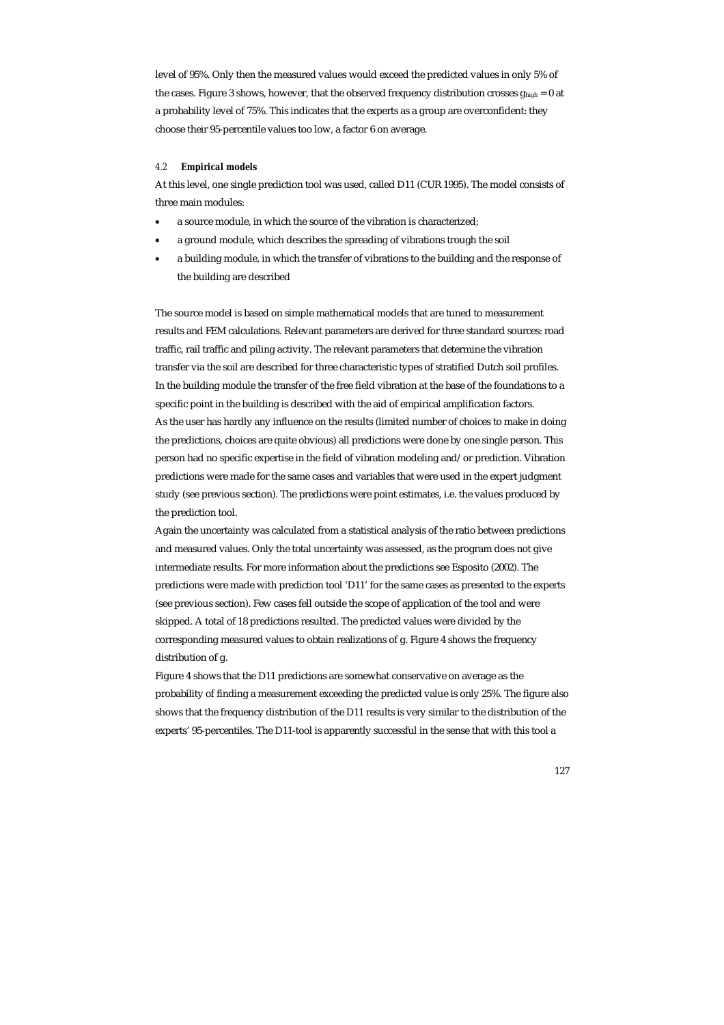level of 95%. Only then the measured values would exceed the predicted values in only 5% of the cases. Figure 3 shows, however, that the observed frequency distribution crosses  $g_{high} = 0$  at a probability level of 75%. This indicates that the experts as a group are overconfident: they choose their 95-percentile values too low, a factor 6 on average.

## *4.2 Empirical models*

At this level, one single prediction tool was used, called D11 (CUR 1995). The model consists of three main modules:

- a source module, in which the source of the vibration is characterized;
- a ground module, which describes the spreading of vibrations trough the soil
- a building module, in which the transfer of vibrations to the building and the response of the building are described

The source model is based on simple mathematical models that are tuned to measurement results and FEM calculations. Relevant parameters are derived for three standard sources: road traffic, rail traffic and piling activity. The relevant parameters that determine the vibration transfer via the soil are described for three characteristic types of stratified Dutch soil profiles. In the building module the transfer of the free field vibration at the base of the foundations to a specific point in the building is described with the aid of empirical amplification factors. As the user has hardly any influence on the results (limited number of choices to make in doing the predictions, choices are quite obvious) all predictions were done by one single person. This person had no specific expertise in the field of vibration modeling and/or prediction. Vibration predictions were made for the same cases and variables that were used in the expert judgment study (see previous section). The predictions were point estimates, i.e. the values produced by the prediction tool.

Again the uncertainty was calculated from a statistical analysis of the ratio between predictions and measured values. Only the total uncertainty was assessed, as the program does not give intermediate results. For more information about the predictions see Esposito (2002). The predictions were made with prediction tool 'D11' for the same cases as presented to the experts (see previous section). Few cases fell outside the scope of application of the tool and were skipped. A total of 18 predictions resulted. The predicted values were divided by the corresponding measured values to obtain realizations of g. Figure 4 shows the frequency distribution of g.

Figure 4 shows that the D11 predictions are somewhat conservative on average as the probability of finding a measurement exceeding the predicted value is only 25%. The figure also shows that the frequency distribution of the D11 results is very similar to the distribution of the experts' 95-percentiles. The D11-tool is apparently successful in the sense that with this tool a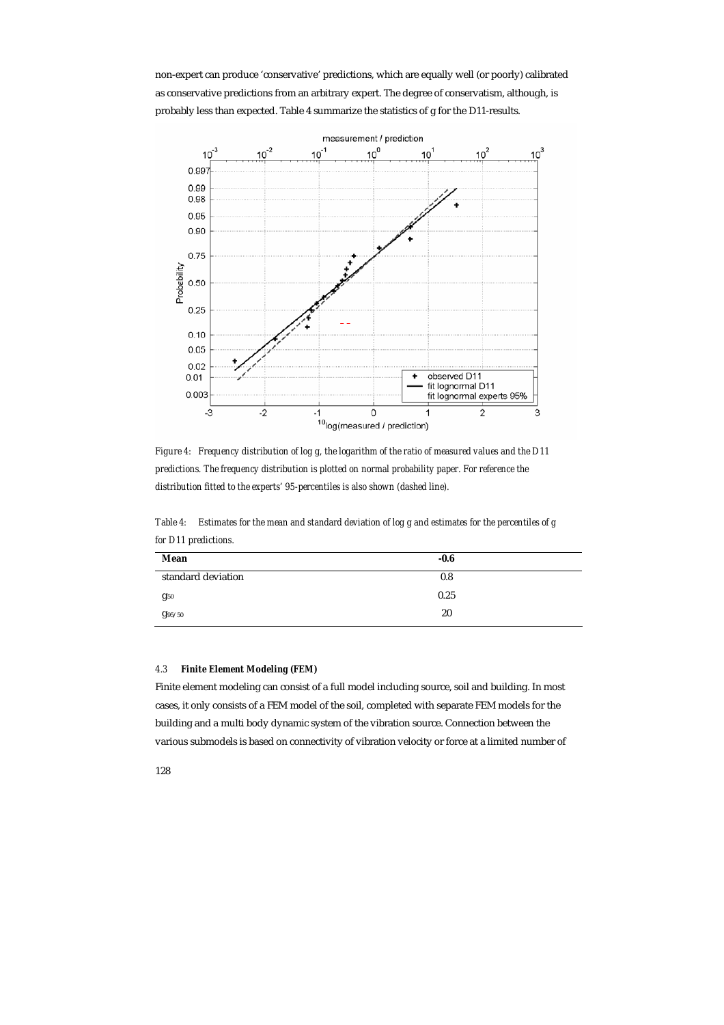non-expert can produce 'conservative' predictions, which are equally well (or poorly) calibrated as conservative predictions from an arbitrary expert. The degree of conservatism, although, is probably less than expected. Table 4 summarize the statistics of g for the D11-results.



*Figure 4: Frequency distribution of log g, the logarithm of the ratio of measured values and the D11 predictions. The frequency distribution is plotted on normal probability paper. For reference the distribution fitted to the experts' 95-percentiles is also shown (dashed line).* 

*Table 4: Estimates for the mean and standard deviation of log g and estimates for the percentiles of g for D11 predictions.* 

| Mean               | $-0.6$ |
|--------------------|--------|
| standard deviation | 0.8    |
| $g_{50}$           | 0.25   |
| g <sub>95/50</sub> | 20     |

## *4.3 Finite Element Modeling (FEM)*

Finite element modeling can consist of a full model including source, soil and building. In most cases, it only consists of a FEM model of the soil, completed with separate FEM models for the building and a multi body dynamic system of the vibration source. Connection between the various submodels is based on connectivity of vibration velocity or force at a limited number of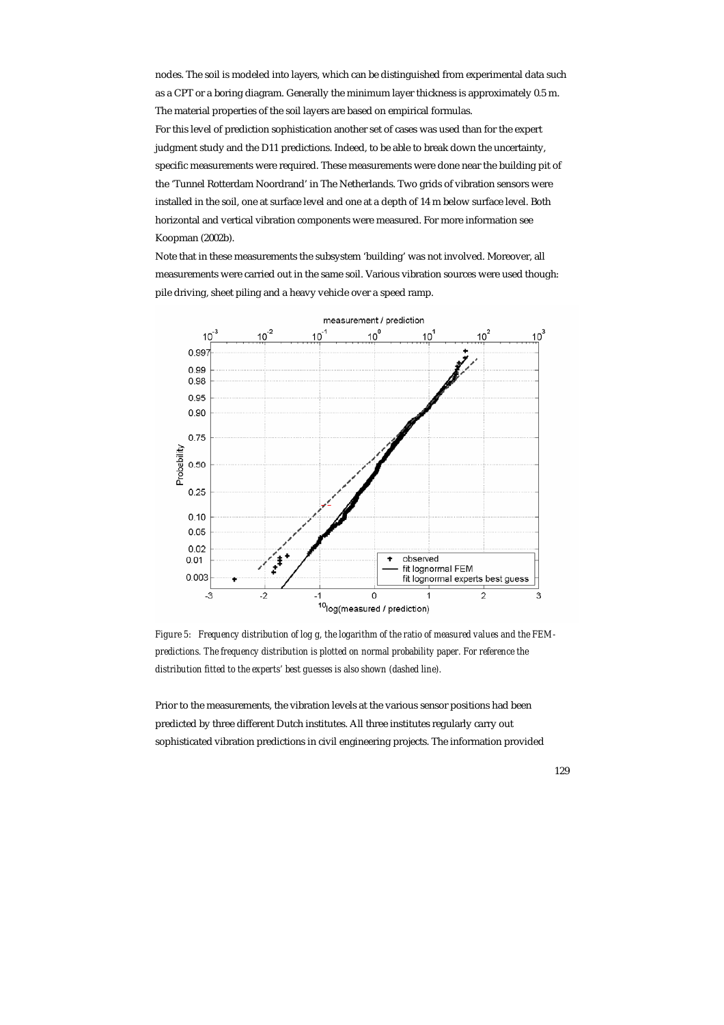nodes. The soil is modeled into layers, which can be distinguished from experimental data such as a CPT or a boring diagram. Generally the minimum layer thickness is approximately 0.5 m. The material properties of the soil layers are based on empirical formulas. For this level of prediction sophistication another set of cases was used than for the expert judgment study and the D11 predictions. Indeed, to be able to break down the uncertainty, specific measurements were required. These measurements were done near the building pit of the 'Tunnel Rotterdam Noordrand' in The Netherlands. Two grids of vibration sensors were installed in the soil, one at surface level and one at a depth of 14 m below surface level. Both horizontal and vertical vibration components were measured. For more information see Koopman (2002b).

Note that in these measurements the subsystem 'building' was not involved. Moreover, all measurements were carried out in the same soil. Various vibration sources were used though: pile driving, sheet piling and a heavy vehicle over a speed ramp.



*Figure 5: Frequency distribution of log g, the logarithm of the ratio of measured values and the FEMpredictions. The frequency distribution is plotted on normal probability paper. For reference the distribution fitted to the experts' best guesses is also shown (dashed line).* 

Prior to the measurements, the vibration levels at the various sensor positions had been predicted by three different Dutch institutes. All three institutes regularly carry out sophisticated vibration predictions in civil engineering projects. The information provided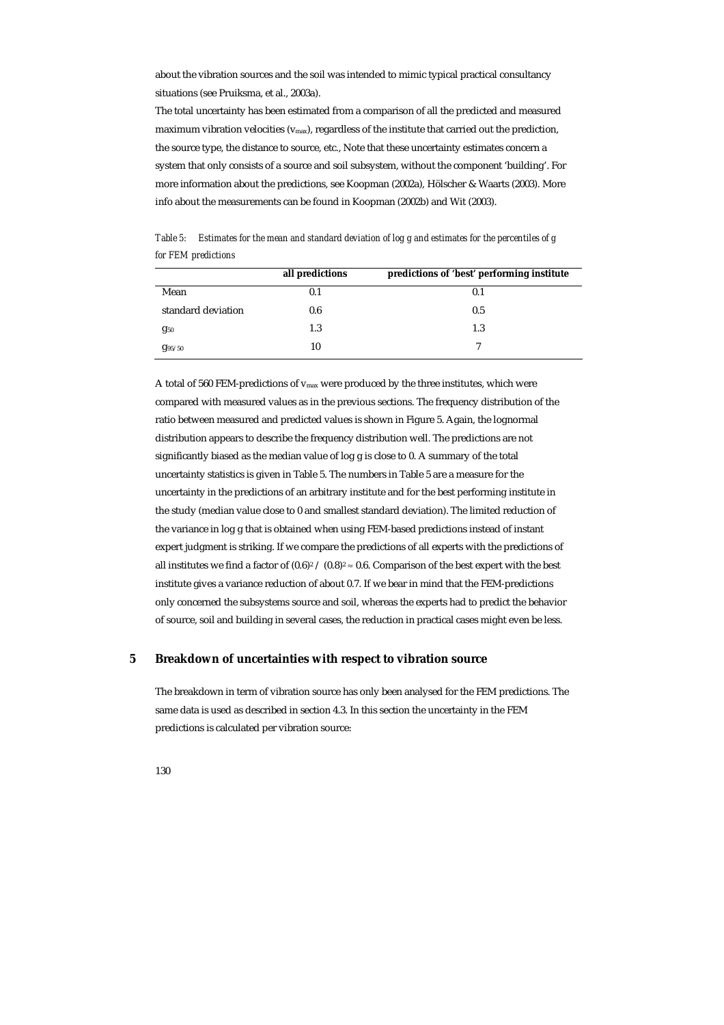about the vibration sources and the soil was intended to mimic typical practical consultancy situations (see Pruiksma, et al., 2003a).

The total uncertainty has been estimated from a comparison of all the predicted and measured maximum vibration velocities ( $v_{\text{max}}$ ), regardless of the institute that carried out the prediction, the source type, the distance to source, etc., Note that these uncertainty estimates concern a system that only consists of a source and soil subsystem, without the component 'building'. For more information about the predictions, see Koopman (2002a), Hölscher & Waarts (2003). More info about the measurements can be found in Koopman (2002b) and Wit (2003).

*Table 5: Estimates for the mean and standard deviation of log g and estimates for the percentiles of g for FEM predictions* 

|                    | all predictions | predictions of 'best' performing institute |
|--------------------|-----------------|--------------------------------------------|
| Mean               | 0.1             | 0.1                                        |
| standard deviation | 0.6             | 0.5                                        |
| $g_{50}$           | 1.3             | 1.3                                        |
| $g_{95/50}$        | 10              | ⇁                                          |

A total of 560 FEM-predictions of  $v_{\text{max}}$  were produced by the three institutes, which were compared with measured values as in the previous sections. The frequency distribution of the ratio between measured and predicted values is shown in Figure 5. Again, the lognormal distribution appears to describe the frequency distribution well. The predictions are not significantly biased as the median value of log g is close to 0. A summary of the total uncertainty statistics is given in Table 5. The numbers in Table 5 are a measure for the uncertainty in the predictions of an arbitrary institute and for the best performing institute in the study (median value close to 0 and smallest standard deviation). The limited reduction of the variance in log g that is obtained when using FEM-based predictions instead of instant expert judgment is striking. If we compare the predictions of all experts with the predictions of all institutes we find a factor of  $(0.6)^2 / (0.8)^2 \approx 0.6$ . Comparison of the best expert with the best institute gives a variance reduction of about 0.7. If we bear in mind that the FEM-predictions only concerned the subsystems source and soil, whereas the experts had to predict the behavior of source, soil and building in several cases, the reduction in practical cases might even be less.

# **5 Breakdown of uncertainties with respect to vibration source**

The breakdown in term of vibration source has only been analysed for the FEM predictions. The same data is used as described in section 4.3. In this section the uncertainty in the FEM predictions is calculated per vibration source: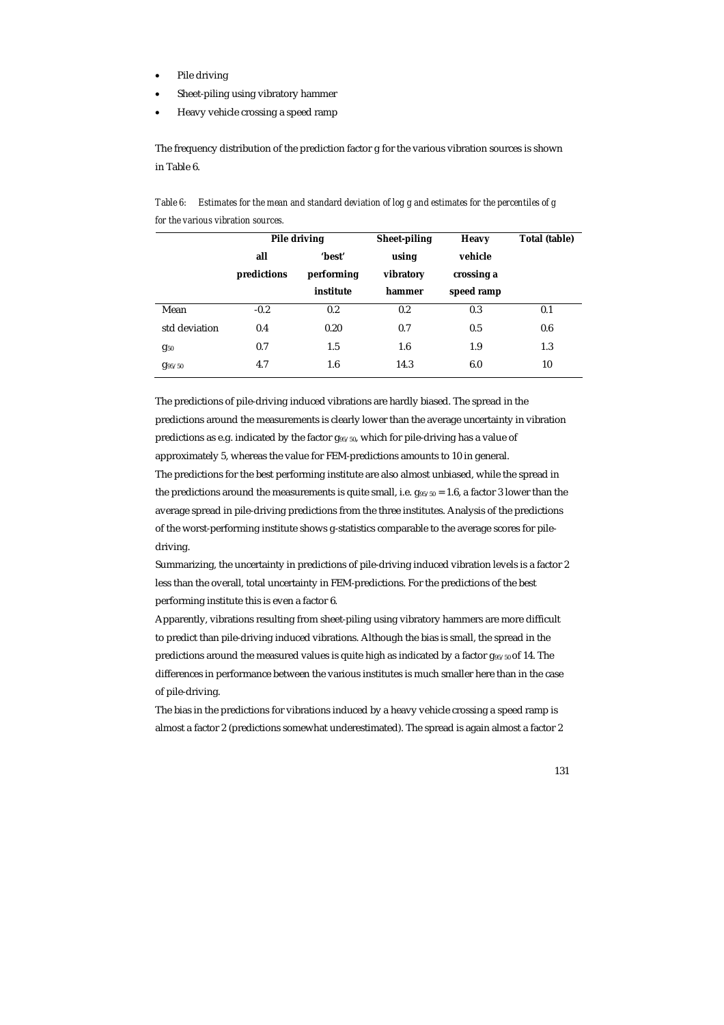- Pile driving
- Sheet-piling using vibratory hammer
- Heavy vehicle crossing a speed ramp

The frequency distribution of the prediction factor g for the various vibration sources is shown in Table 6.

*Table 6: Estimates for the mean and standard deviation of log g and estimates for the percentiles of g for the various vibration sources.* 

|                    |             | Pile driving | Sheet-piling | <b>Heavy</b> | Total (table) |
|--------------------|-------------|--------------|--------------|--------------|---------------|
|                    | all         | 'best'       | using        | vehicle      |               |
|                    | predictions | performing   | vibratory    | crossing a   |               |
|                    |             | institute    | hammer       | speed ramp   |               |
| Mean               | $-0.2$      | 0.2          | 0.2          | 0.3          | 0.1           |
| std deviation      | 0.4         | 0.20         | 0.7          | 0.5          | 0.6           |
| $g_{50}$           | 0.7         | 1.5          | 1.6          | 1.9          | 1.3           |
| g <sub>95/50</sub> | 4.7         | 1.6          | 14.3         | 6.0          | 10            |

The predictions of pile-driving induced vibrations are hardly biased. The spread in the predictions around the measurements is clearly lower than the average uncertainty in vibration predictions as e.g. indicated by the factor g95/50, which for pile-driving has a value of approximately 5, whereas the value for FEM-predictions amounts to 10 in general. The predictions for the best performing institute are also almost unbiased, while the spread in the predictions around the measurements is quite small, i.e.  $g_{95/50} = 1.6$ , a factor 3 lower than the average spread in pile-driving predictions from the three institutes. Analysis of the predictions of the worst-performing institute shows g-statistics comparable to the average scores for piledriving.

Summarizing, the uncertainty in predictions of pile-driving induced vibration levels is a factor 2 less than the overall, total uncertainty in FEM-predictions. For the predictions of the best performing institute this is even a factor 6.

Apparently, vibrations resulting from sheet-piling using vibratory hammers are more difficult to predict than pile-driving induced vibrations. Although the bias is small, the spread in the predictions around the measured values is quite high as indicated by a factor  $g_{95/50}$  of 14. The differences in performance between the various institutes is much smaller here than in the case of pile-driving.

The bias in the predictions for vibrations induced by a heavy vehicle crossing a speed ramp is almost a factor 2 (predictions somewhat underestimated). The spread is again almost a factor 2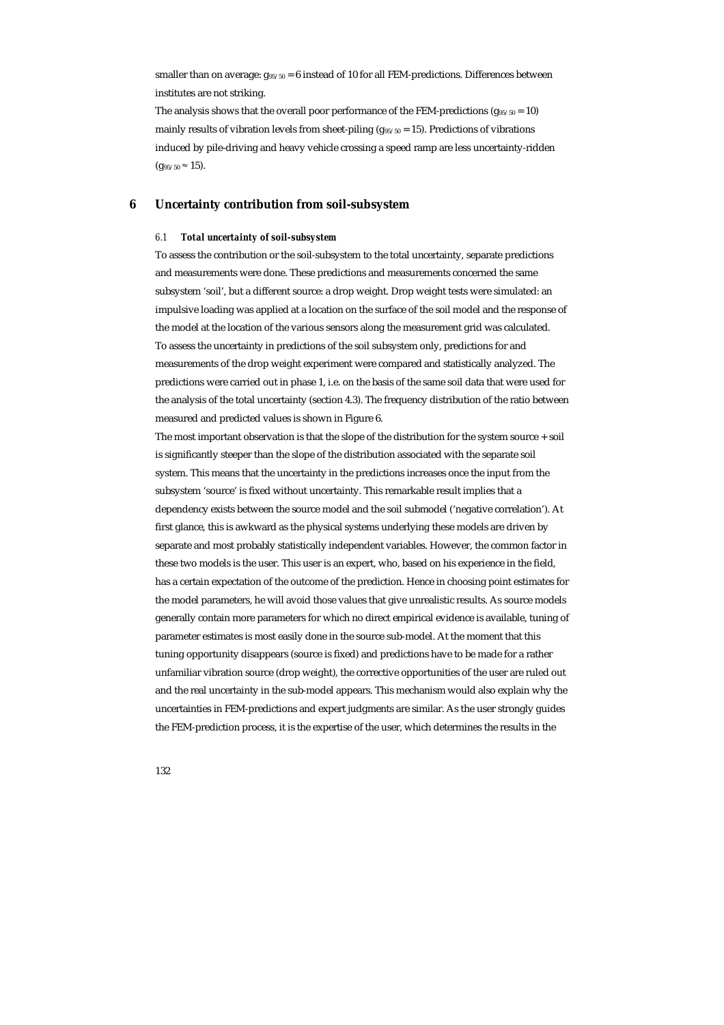smaller than on average:  $g_{95/50} = 6$  instead of 10 for all FEM-predictions. Differences between institutes are not striking.

The analysis shows that the overall poor performance of the FEM-predictions ( $g_{95/50} = 10$ ) mainly results of vibration levels from sheet-piling ( $g_{95/50} = 15$ ). Predictions of vibrations induced by pile-driving and heavy vehicle crossing a speed ramp are less uncertainty-ridden  $(g_{95/50} \approx 15).$ 

# **6 Uncertainty contribution from soil-subsystem**

#### *6.1 Total uncertainty of soil-subsystem*

To assess the contribution or the soil-subsystem to the total uncertainty, separate predictions and measurements were done. These predictions and measurements concerned the same subsystem 'soil', but a different source: a drop weight. Drop weight tests were simulated: an impulsive loading was applied at a location on the surface of the soil model and the response of the model at the location of the various sensors along the measurement grid was calculated. To assess the uncertainty in predictions of the soil subsystem only, predictions for and measurements of the drop weight experiment were compared and statistically analyzed. The predictions were carried out in phase 1, i.e. on the basis of the same soil data that were used for the analysis of the total uncertainty (section 4.3). The frequency distribution of the ratio between measured and predicted values is shown in Figure 6.

The most important observation is that the slope of the distribution for the system source + soil is significantly steeper than the slope of the distribution associated with the separate soil system. This means that the uncertainty in the predictions increases once the input from the subsystem 'source' is fixed without uncertainty. This remarkable result implies that a dependency exists between the source model and the soil submodel ('negative correlation'). At first glance, this is awkward as the physical systems underlying these models are driven by separate and most probably statistically independent variables. However, the common factor in these two models is the user. This user is an expert, who, based on his experience in the field, has a certain expectation of the outcome of the prediction. Hence in choosing point estimates for the model parameters, he will avoid those values that give unrealistic results. As source models generally contain more parameters for which no direct empirical evidence is available, tuning of parameter estimates is most easily done in the source sub-model. At the moment that this tuning opportunity disappears (source is fixed) and predictions have to be made for a rather unfamiliar vibration source (drop weight), the corrective opportunities of the user are ruled out and the real uncertainty in the sub-model appears. This mechanism would also explain why the uncertainties in FEM-predictions and expert judgments are similar. As the user strongly guides the FEM-prediction process, it is the expertise of the user, which determines the results in the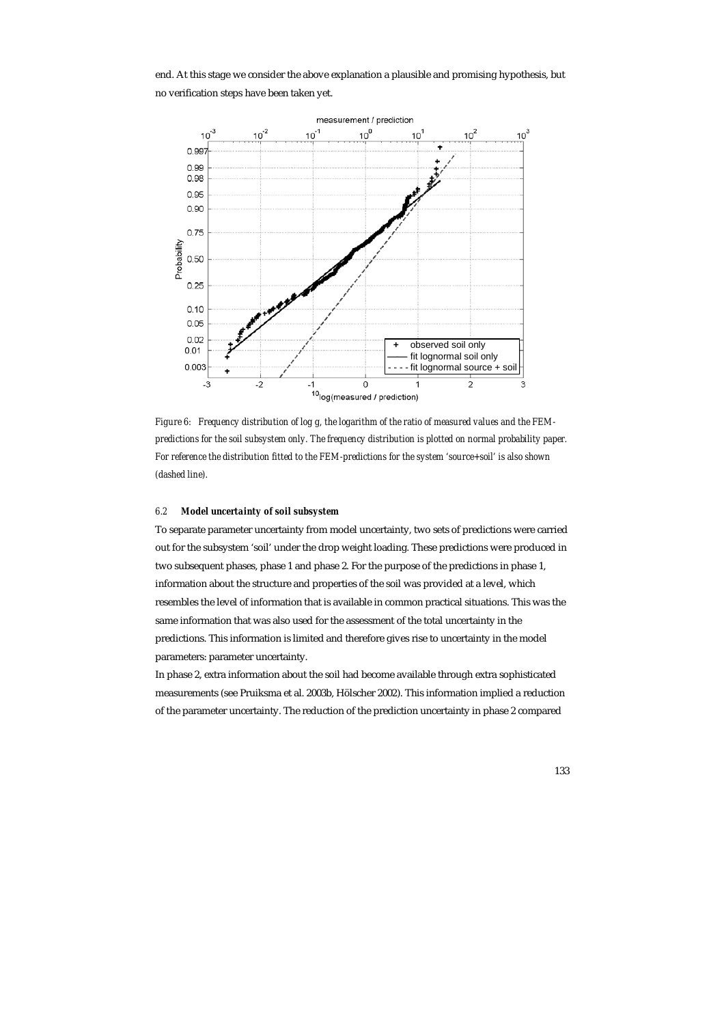end. At this stage we consider the above explanation a plausible and promising hypothesis, but no verification steps have been taken yet.



*Figure 6: Frequency distribution of log g, the logarithm of the ratio of measured values and the FEMpredictions for the soil subsystem only. The frequency distribution is plotted on normal probability paper. For reference the distribution fitted to the FEM-predictions for the system 'source+soil' is also shown (dashed line).* 

## *6.2 Model uncertainty of soil subsystem*

To separate parameter uncertainty from model uncertainty, two sets of predictions were carried out for the subsystem 'soil' under the drop weight loading. These predictions were produced in two subsequent phases, phase 1 and phase 2. For the purpose of the predictions in phase 1, information about the structure and properties of the soil was provided at a level, which resembles the level of information that is available in common practical situations. This was the same information that was also used for the assessment of the total uncertainty in the predictions. This information is limited and therefore gives rise to uncertainty in the model parameters: parameter uncertainty.

In phase 2, extra information about the soil had become available through extra sophisticated measurements (see Pruiksma et al. 2003b, Hölscher 2002). This information implied a reduction of the parameter uncertainty. The reduction of the prediction uncertainty in phase 2 compared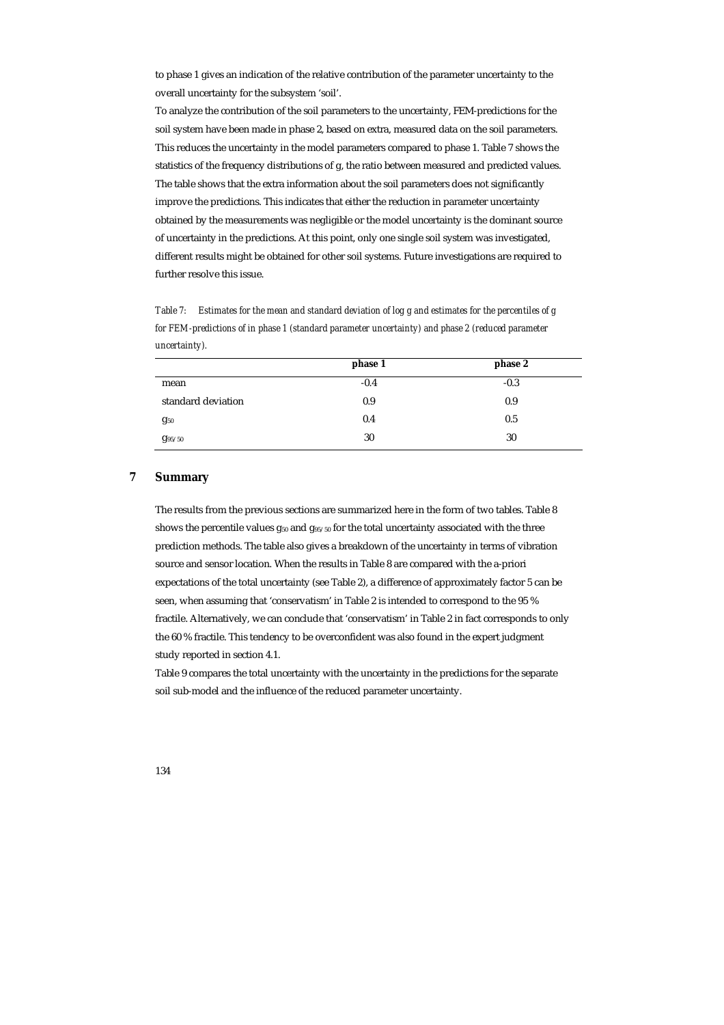to phase 1 gives an indication of the relative contribution of the parameter uncertainty to the overall uncertainty for the subsystem 'soil'.

To analyze the contribution of the soil parameters to the uncertainty, FEM-predictions for the soil system have been made in phase 2, based on extra, measured data on the soil parameters. This reduces the uncertainty in the model parameters compared to phase 1. Table 7 shows the statistics of the frequency distributions of g, the ratio between measured and predicted values. The table shows that the extra information about the soil parameters does not significantly improve the predictions. This indicates that either the reduction in parameter uncertainty obtained by the measurements was negligible or the model uncertainty is the dominant source of uncertainty in the predictions. At this point, only one single soil system was investigated, different results might be obtained for other soil systems. Future investigations are required to further resolve this issue.

*Table 7: Estimates for the mean and standard deviation of log g and estimates for the percentiles of g for FEM-predictions of in phase 1 (standard parameter uncertainty) and phase 2 (reduced parameter uncertainty).* 

|                    | phase 1 | phase 2 |
|--------------------|---------|---------|
| mean               | $-0.4$  | $-0.3$  |
| standard deviation | 0.9     | 0.9     |
| $g_{50}$           | 0.4     | 0.5     |
| g <sub>95/50</sub> | 30      | 30      |

# **7 Summary**

The results from the previous sections are summarized here in the form of two tables. Table 8 shows the percentile values  $g_{50}$  and  $g_{95/50}$  for the total uncertainty associated with the three prediction methods. The table also gives a breakdown of the uncertainty in terms of vibration source and sensor location. When the results in Table 8 are compared with the a-priori expectations of the total uncertainty (see Table 2), a difference of approximately factor 5 can be seen, when assuming that 'conservatism' in Table 2 is intended to correspond to the 95 % fractile. Alternatively, we can conclude that 'conservatism' in Table 2 in fact corresponds to only the 60 % fractile. This tendency to be overconfident was also found in the expert judgment study reported in section 4.1.

Table 9 compares the total uncertainty with the uncertainty in the predictions for the separate soil sub-model and the influence of the reduced parameter uncertainty.

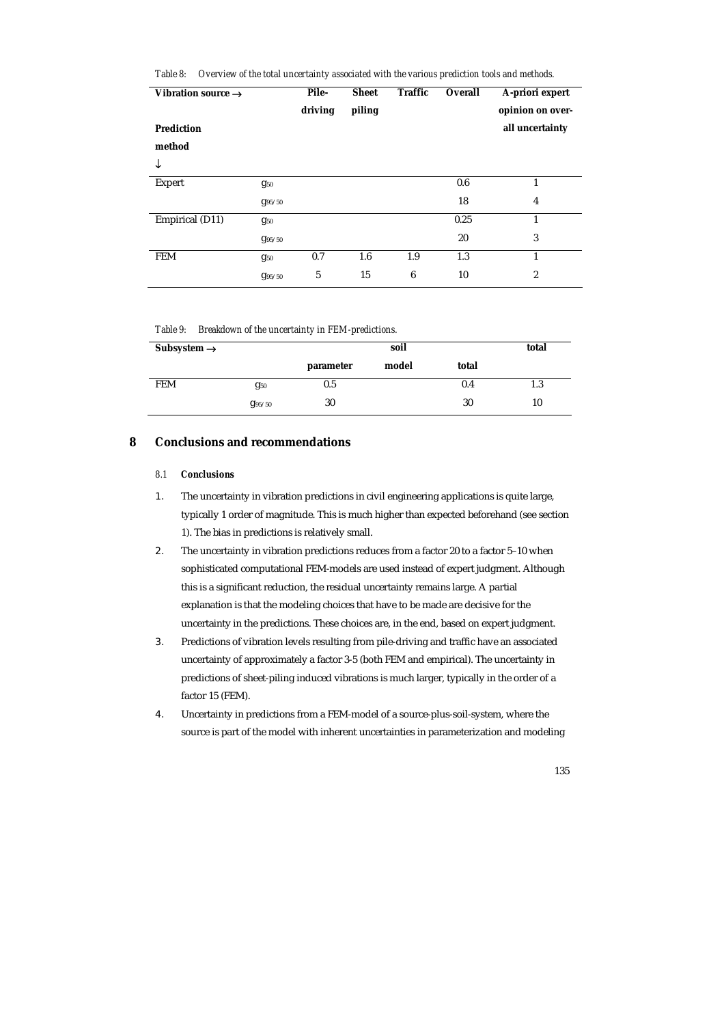| Table 8: Overview of the total uncertainty associated with the various prediction tools and methods. |  |
|------------------------------------------------------------------------------------------------------|--|
|------------------------------------------------------------------------------------------------------|--|

| Vibration source $\rightarrow$ |                    | Pile-<br>driving | <b>Sheet</b><br>piling | <b>Traffic</b> | Overall | A-priori expert<br>opinion on over- |
|--------------------------------|--------------------|------------------|------------------------|----------------|---------|-------------------------------------|
| <b>Prediction</b>              |                    |                  |                        |                |         | all uncertainty                     |
| method                         |                    |                  |                        |                |         |                                     |
| ↓                              |                    |                  |                        |                |         |                                     |
| <b>Expert</b>                  | $g_{50}$           |                  |                        |                | 0.6     | 1                                   |
|                                | g <sub>95/50</sub> |                  |                        |                | 18      | 4                                   |
| Empirical (D11)                | $g_{50}$           |                  |                        |                | 0.25    | $\mathbf{1}$                        |
|                                | g <sub>95/50</sub> |                  |                        |                | 20      | 3                                   |
| <b>FEM</b>                     | $g_{50}$           | 0.7              | 1.6                    | 1.9            | 1.3     | 1                                   |
|                                | g <sub>95/50</sub> | $\sqrt{5}$       | 15                     | 6              | 10      | 2                                   |

### *Table 9: Breakdown of the uncertainty in FEM-predictions.*

| Subsystem $\rightarrow$ |             |           | total |       |     |
|-------------------------|-------------|-----------|-------|-------|-----|
|                         |             | parameter | model | total |     |
| <b>FEM</b>              | $g_{50}$    | $0.5\,$   |       | 0.4   | 1.3 |
|                         | $g_{95/50}$ | 30        |       | 30    | 10  |

# **8 Conclusions and recommendations**

# *8.1 Conclusions*

- 1. The uncertainty in vibration predictions in civil engineering applications is quite large, typically 1 order of magnitude. This is much higher than expected beforehand (see section 1). The bias in predictions is relatively small.
- 2. The uncertainty in vibration predictions reduces from a factor 20 to a factor 5–10 when sophisticated computational FEM-models are used instead of expert judgment. Although this is a significant reduction, the residual uncertainty remains large. A partial explanation is that the modeling choices that have to be made are decisive for the uncertainty in the predictions. These choices are, in the end, based on expert judgment.
- 3. Predictions of vibration levels resulting from pile-driving and traffic have an associated uncertainty of approximately a factor 3-5 (both FEM and empirical). The uncertainty in predictions of sheet-piling induced vibrations is much larger, typically in the order of a factor 15 (FEM).
- 4. Uncertainty in predictions from a FEM-model of a source-plus-soil-system, where the source is part of the model with inherent uncertainties in parameterization and modeling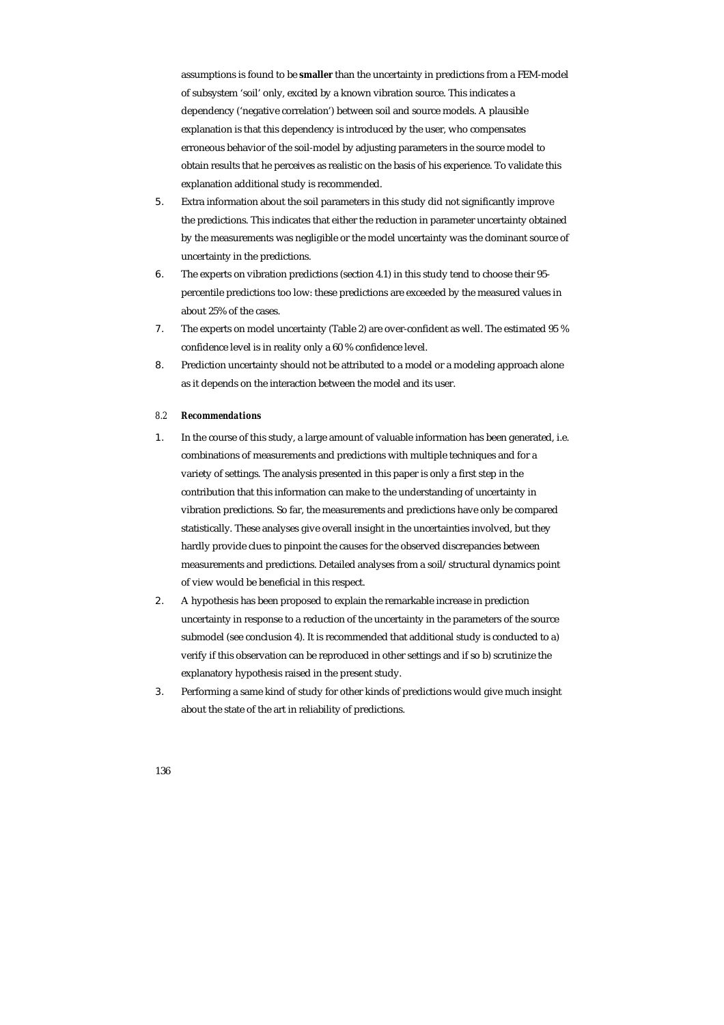assumptions is found to be **smaller** than the uncertainty in predictions from a FEM-model of subsystem 'soil' only, excited by a known vibration source. This indicates a dependency ('negative correlation') between soil and source models. A plausible explanation is that this dependency is introduced by the user, who compensates erroneous behavior of the soil-model by adjusting parameters in the source model to obtain results that he perceives as realistic on the basis of his experience. To validate this explanation additional study is recommended.

- 5. Extra information about the soil parameters in this study did not significantly improve the predictions. This indicates that either the reduction in parameter uncertainty obtained by the measurements was negligible or the model uncertainty was the dominant source of uncertainty in the predictions.
- 6. The experts on vibration predictions (section 4.1) in this study tend to choose their 95 percentile predictions too low: these predictions are exceeded by the measured values in about 25% of the cases.
- 7. The experts on model uncertainty (Table 2) are over-confident as well. The estimated 95 % confidence level is in reality only a 60 % confidence level.
- 8. Prediction uncertainty should not be attributed to a model or a modeling approach alone as it depends on the interaction between the model and its user.

#### *8.2 Recommendations*

- 1. In the course of this study, a large amount of valuable information has been generated, i.e. combinations of measurements and predictions with multiple techniques and for a variety of settings. The analysis presented in this paper is only a first step in the contribution that this information can make to the understanding of uncertainty in vibration predictions. So far, the measurements and predictions have only be compared statistically. These analyses give overall insight in the uncertainties involved, but they hardly provide clues to pinpoint the causes for the observed discrepancies between measurements and predictions. Detailed analyses from a soil/structural dynamics point of view would be beneficial in this respect.
- 2. A hypothesis has been proposed to explain the remarkable increase in prediction uncertainty in response to a reduction of the uncertainty in the parameters of the source submodel (see conclusion 4). It is recommended that additional study is conducted to a) verify if this observation can be reproduced in other settings and if so b) scrutinize the explanatory hypothesis raised in the present study.
- 3. Performing a same kind of study for other kinds of predictions would give much insight about the state of the art in reliability of predictions.